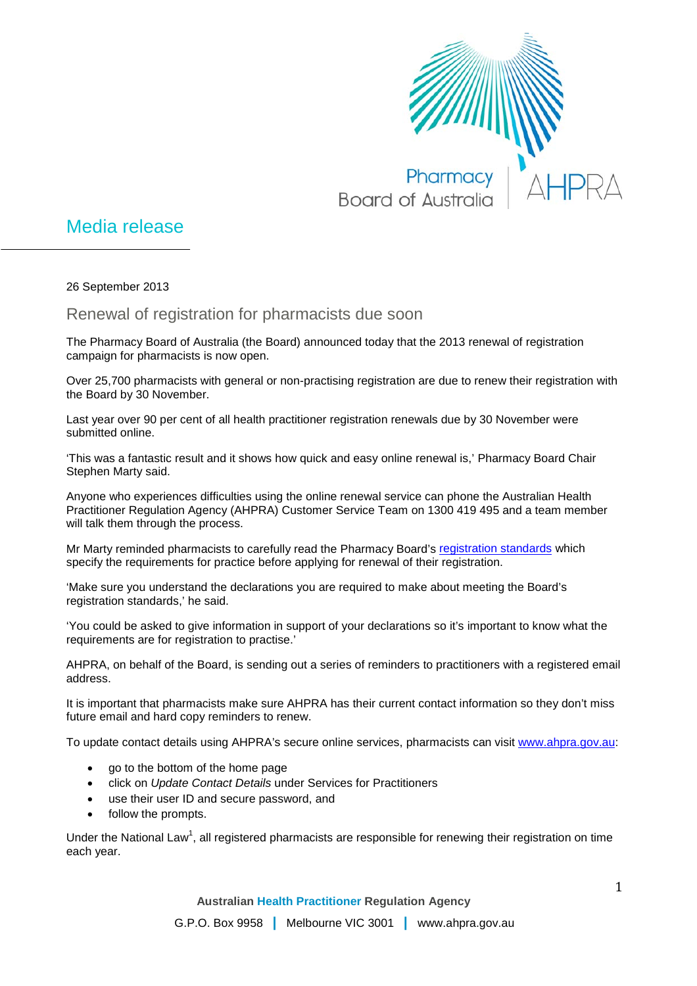

## Media release

26 September 2013

Renewal of registration for pharmacists due soon

The Pharmacy Board of Australia (the Board) announced today that the 2013 renewal of registration campaign for pharmacists is now open.

Over 25,700 pharmacists with general or non-practising registration are due to renew their registration with the Board by 30 November.

Last year over 90 per cent of all health practitioner registration renewals due by 30 November were submitted online.

'This was a fantastic result and it shows how quick and easy online renewal is,' Pharmacy Board Chair Stephen Marty said.

Anyone who experiences difficulties using the online renewal service can phone the Australian Health Practitioner Regulation Agency (AHPRA) Customer Service Team on 1300 419 495 and a team member will talk them through the process.

Mr Marty reminded pharmacists to carefully read the Pharmacy Board's [registration standards](http://www.pharmacyboard.gov.au/Registration-Standards.aspx) which specify the requirements for practice before applying for renewal of their registration.

'Make sure you understand the declarations you are required to make about meeting the Board's registration standards,' he said.

'You could be asked to give information in support of your declarations so it's important to know what the requirements are for registration to practise.'

AHPRA, on behalf of the Board, is sending out a series of reminders to practitioners with a registered email address.

It is important that pharmacists make sure AHPRA has their current contact information so they don't miss future email and hard copy reminders to renew.

To update contact details using AHPRA's secure online services, pharmacists can visit [www.ahpra.gov.au:](http://www.ahpra.gov.au/)

- go to the bottom of the home page
- click on *Update Contact Details* under Services for Practitioners
- use their user ID and secure password, and
- follow the prompts.

Under the National Law<sup>1</sup>, all registered pharmacists are responsible for renewing their registration on time each year.

**Australian Health Practitioner Regulation Agency**